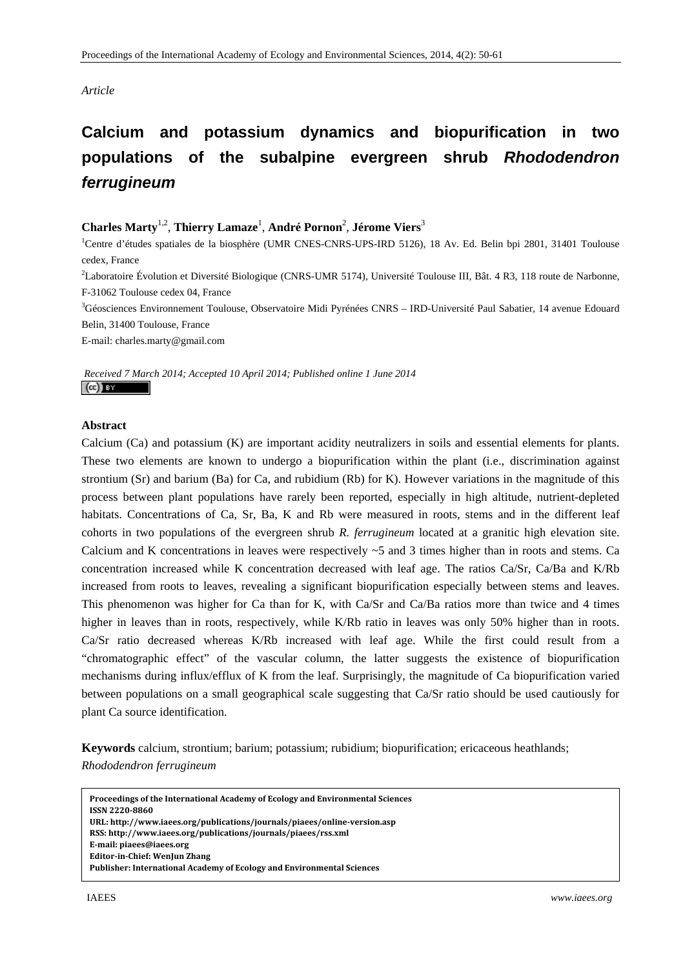# *Article*

# **Calcium and potassium dynamics and biopurification in two populations of the subalpine evergreen shrub** *Rhododendron ferrugineum*

# **Charles Marty**1,2, **Thierry Lamaze**<sup>1</sup> , **André Pornon**<sup>2</sup> , **Jérome Viers**<sup>3</sup>

<sup>1</sup>Centre d'études spatiales de la biosphère (UMR CNES-CNRS-UPS-IRD 5126), 18 Av. Ed. Belin bpi 2801, 31401 Toulouse cedex, France

<sup>2</sup>Laboratoire Évolution et Diversité Biologique (CNRS-UMR 5174), Université Toulouse III, Bât. 4 R3, 118 route de Narbonne, F-31062 Toulouse cedex 04, France

3 Géosciences Environnement Toulouse, Observatoire Midi Pyrénées CNRS – IRD-Université Paul Sabatier, 14 avenue Edouard Belin, 31400 Toulouse, France

E-mail: charles.marty@gmail.com

 *Received 7 March 2014; Accepted 10 April 2014; Published online 1 June 2014*   $(cc)$  BY

## **Abstract**

Calcium (Ca) and potassium (K) are important acidity neutralizers in soils and essential elements for plants. These two elements are known to undergo a biopurification within the plant (i.e., discrimination against strontium (Sr) and barium (Ba) for Ca, and rubidium (Rb) for K). However variations in the magnitude of this process between plant populations have rarely been reported, especially in high altitude, nutrient-depleted habitats. Concentrations of Ca, Sr, Ba, K and Rb were measured in roots, stems and in the different leaf cohorts in two populations of the evergreen shrub *R. ferrugineum* located at a granitic high elevation site. Calcium and K concentrations in leaves were respectively  $\sim$  5 and 3 times higher than in roots and stems. Ca concentration increased while K concentration decreased with leaf age. The ratios Ca/Sr, Ca/Ba and K/Rb increased from roots to leaves, revealing a significant biopurification especially between stems and leaves. This phenomenon was higher for Ca than for K, with Ca/Sr and Ca/Ba ratios more than twice and 4 times higher in leaves than in roots, respectively, while K/Rb ratio in leaves was only 50% higher than in roots. Ca/Sr ratio decreased whereas K/Rb increased with leaf age. While the first could result from a "chromatographic effect" of the vascular column, the latter suggests the existence of biopurification mechanisms during influx/efflux of K from the leaf. Surprisingly, the magnitude of Ca biopurification varied between populations on a small geographical scale suggesting that Ca/Sr ratio should be used cautiously for plant Ca source identification.

**Keywords** calcium, strontium; barium; potassium; rubidium; biopurification; ericaceous heathlands; *Rhododendron ferrugineum*

**Proceedings of the International Academy of Ecology and Environmental Sciences ISSN 22208860 URL: http://www.iaees.org/publications/journals/piaees/onlineversion.asp RSS: http://www.iaees.org/publications/journals/piaees/rss.xml Email: piaees@iaees.org EditorinChief: WenJun Zhang Publisher: International Academy of Ecology and Environmental Sciences**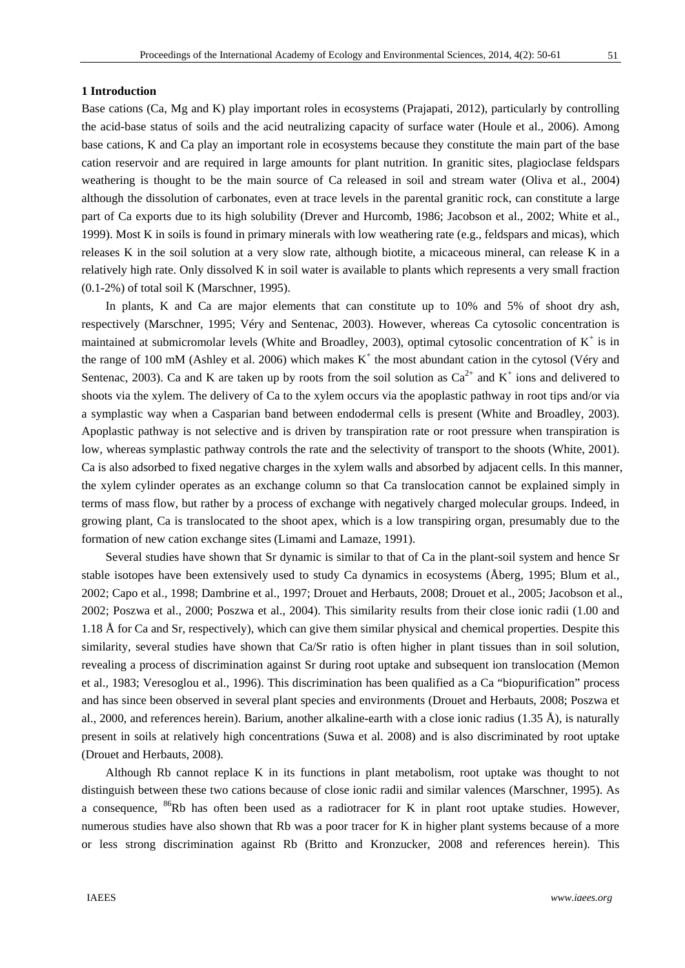#### **1 Introduction**

Base cations (Ca, Mg and K) play important roles in ecosystems (Prajapati, 2012), particularly by controlling the acid-base status of soils and the acid neutralizing capacity of surface water (Houle et al., 2006). Among base cations, K and Ca play an important role in ecosystems because they constitute the main part of the base cation reservoir and are required in large amounts for plant nutrition. In granitic sites, plagioclase feldspars weathering is thought to be the main source of Ca released in soil and stream water (Oliva et al., 2004) although the dissolution of carbonates, even at trace levels in the parental granitic rock, can constitute a large part of Ca exports due to its high solubility (Drever and Hurcomb, 1986; Jacobson et al., 2002; White et al., 1999). Most K in soils is found in primary minerals with low weathering rate (e.g., feldspars and micas), which releases K in the soil solution at a very slow rate, although biotite, a micaceous mineral, can release K in a relatively high rate. Only dissolved K in soil water is available to plants which represents a very small fraction (0.1-2%) of total soil K (Marschner, 1995).

In plants, K and Ca are major elements that can constitute up to 10% and 5% of shoot dry ash, respectively (Marschner, 1995; Véry and Sentenac, 2003). However, whereas Ca cytosolic concentration is maintained at submicromolar levels (White and Broadley, 2003), optimal cytosolic concentration of  $K^+$  is in the range of 100 mM (Ashley et al. 2006) which makes  $K^+$  the most abundant cation in the cytosol (Véry and Sentenac, 2003). Ca and K are taken up by roots from the soil solution as  $Ca^{2+}$  and  $K^+$  ions and delivered to shoots via the xylem. The delivery of Ca to the xylem occurs via the apoplastic pathway in root tips and/or via a symplastic way when a Casparian band between endodermal cells is present (White and Broadley, 2003). Apoplastic pathway is not selective and is driven by transpiration rate or root pressure when transpiration is low, whereas symplastic pathway controls the rate and the selectivity of transport to the shoots (White, 2001). Ca is also adsorbed to fixed negative charges in the xylem walls and absorbed by adjacent cells. In this manner, the xylem cylinder operates as an exchange column so that Ca translocation cannot be explained simply in terms of mass flow, but rather by a process of exchange with negatively charged molecular groups. Indeed, in growing plant, Ca is translocated to the shoot apex, which is a low transpiring organ, presumably due to the formation of new cation exchange sites (Limami and Lamaze, 1991).

Several studies have shown that Sr dynamic is similar to that of Ca in the plant-soil system and hence Sr stable isotopes have been extensively used to study Ca dynamics in ecosystems (Åberg, 1995; Blum et al., 2002; Capo et al., 1998; Dambrine et al., 1997; Drouet and Herbauts, 2008; Drouet et al., 2005; Jacobson et al., 2002; Poszwa et al., 2000; Poszwa et al., 2004). This similarity results from their close ionic radii (1.00 and 1.18 Å for Ca and Sr, respectively), which can give them similar physical and chemical properties. Despite this similarity, several studies have shown that Ca/Sr ratio is often higher in plant tissues than in soil solution, revealing a process of discrimination against Sr during root uptake and subsequent ion translocation (Memon et al., 1983; Veresoglou et al., 1996). This discrimination has been qualified as a Ca "biopurification" process and has since been observed in several plant species and environments (Drouet and Herbauts, 2008; Poszwa et al., 2000, and references herein). Barium, another alkaline-earth with a close ionic radius (1.35 Å), is naturally present in soils at relatively high concentrations (Suwa et al. 2008) and is also discriminated by root uptake (Drouet and Herbauts, 2008).

Although Rb cannot replace K in its functions in plant metabolism, root uptake was thought to not distinguish between these two cations because of close ionic radii and similar valences (Marschner, 1995). As a consequence,  ${}^{86}$ Rb has often been used as a radiotracer for K in plant root uptake studies. However, numerous studies have also shown that Rb was a poor tracer for K in higher plant systems because of a more or less strong discrimination against Rb (Britto and Kronzucker, 2008 and references herein). This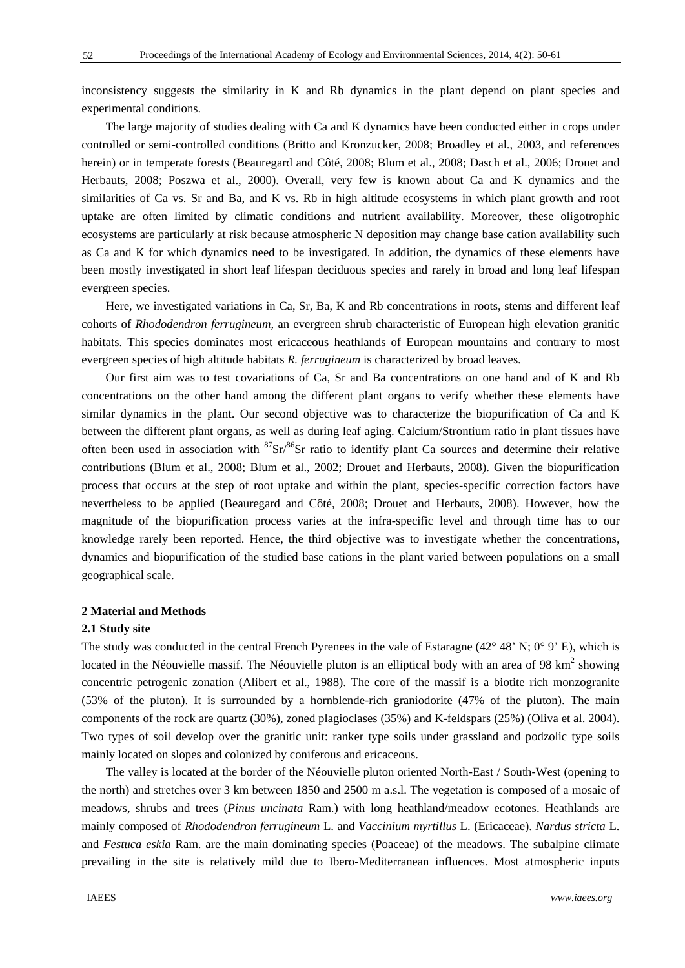inconsistency suggests the similarity in K and Rb dynamics in the plant depend on plant species and experimental conditions.

The large majority of studies dealing with Ca and K dynamics have been conducted either in crops under controlled or semi-controlled conditions (Britto and Kronzucker, 2008; Broadley et al., 2003, and references herein) or in temperate forests (Beauregard and Côté, 2008; Blum et al., 2008; Dasch et al., 2006; Drouet and Herbauts, 2008; Poszwa et al., 2000). Overall, very few is known about Ca and K dynamics and the similarities of Ca vs. Sr and Ba, and K vs. Rb in high altitude ecosystems in which plant growth and root uptake are often limited by climatic conditions and nutrient availability. Moreover, these oligotrophic ecosystems are particularly at risk because atmospheric N deposition may change base cation availability such as Ca and K for which dynamics need to be investigated. In addition, the dynamics of these elements have been mostly investigated in short leaf lifespan deciduous species and rarely in broad and long leaf lifespan evergreen species.

Here, we investigated variations in Ca, Sr, Ba, K and Rb concentrations in roots, stems and different leaf cohorts of *Rhododendron ferrugineum,* an evergreen shrub characteristic of European high elevation granitic habitats. This species dominates most ericaceous heathlands of European mountains and contrary to most evergreen species of high altitude habitats *R. ferrugineum* is characterized by broad leaves.

Our first aim was to test covariations of Ca, Sr and Ba concentrations on one hand and of K and Rb concentrations on the other hand among the different plant organs to verify whether these elements have similar dynamics in the plant. Our second objective was to characterize the biopurification of Ca and K between the different plant organs, as well as during leaf aging. Calcium/Strontium ratio in plant tissues have often been used in association with  ${}^{87}Sr/{}^{86}Sr$  ratio to identify plant Ca sources and determine their relative contributions (Blum et al., 2008; Blum et al., 2002; Drouet and Herbauts, 2008). Given the biopurification process that occurs at the step of root uptake and within the plant, species-specific correction factors have nevertheless to be applied (Beauregard and Côté, 2008; Drouet and Herbauts, 2008). However, how the magnitude of the biopurification process varies at the infra-specific level and through time has to our knowledge rarely been reported. Hence, the third objective was to investigate whether the concentrations, dynamics and biopurification of the studied base cations in the plant varied between populations on a small geographical scale.

## **2 Material and Methods**

#### **2.1 Study site**

The study was conducted in the central French Pyrenees in the vale of Estaragne (42° 48' N; 0° 9' E), which is located in the Néouvielle massif. The Néouvielle pluton is an elliptical body with an area of 98  $\text{km}^2$  showing concentric petrogenic zonation (Alibert et al., 1988). The core of the massif is a biotite rich monzogranite (53% of the pluton). It is surrounded by a hornblende-rich graniodorite (47% of the pluton). The main components of the rock are quartz (30%), zoned plagioclases (35%) and K-feldspars (25%) (Oliva et al. 2004). Two types of soil develop over the granitic unit: ranker type soils under grassland and podzolic type soils mainly located on slopes and colonized by coniferous and ericaceous.

The valley is located at the border of the Néouvielle pluton oriented North-East / South-West (opening to the north) and stretches over 3 km between 1850 and 2500 m a.s.l. The vegetation is composed of a mosaic of meadows, shrubs and trees (*Pinus uncinata* Ram.) with long heathland/meadow ecotones. Heathlands are mainly composed of *Rhododendron ferrugineum* L. and *Vaccinium myrtillus* L. (Ericaceae). *Nardus stricta* L. and *Festuca eskia* Ram. are the main dominating species (Poaceae) of the meadows. The subalpine climate prevailing in the site is relatively mild due to Ibero-Mediterranean influences. Most atmospheric inputs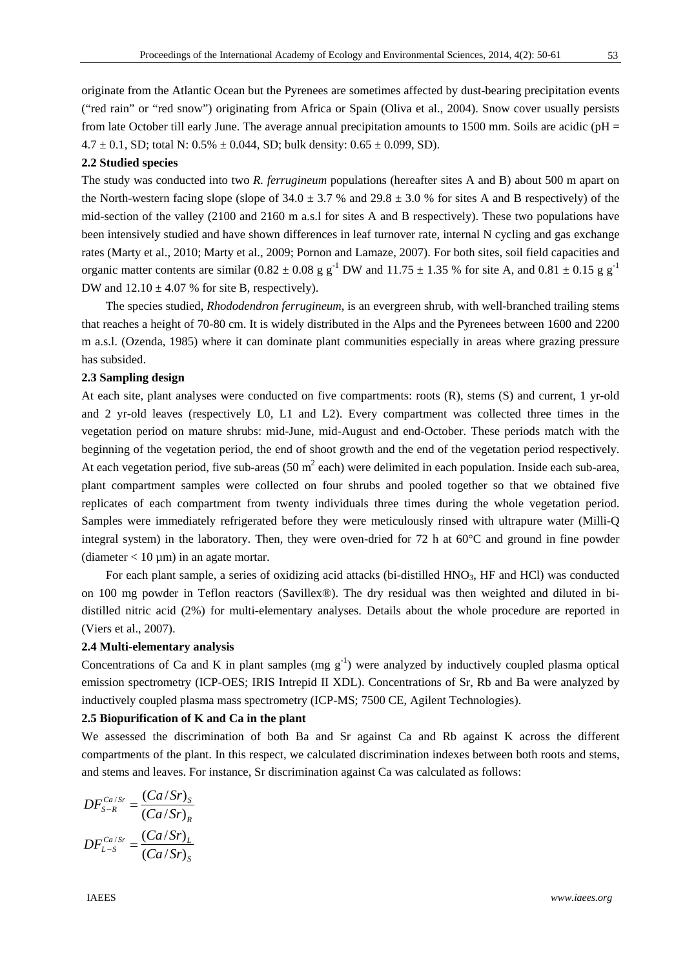originate from the Atlantic Ocean but the Pyrenees are sometimes affected by dust-bearing precipitation events ("red rain" or "red snow") originating from Africa or Spain (Oliva et al., 2004). Snow cover usually persists from late October till early June. The average annual precipitation amounts to 1500 mm. Soils are acidic ( $pH =$  $4.7 \pm 0.1$ , SD; total N:  $0.5\% \pm 0.044$ , SD; bulk density:  $0.65 \pm 0.099$ , SD).

### **2.2 Studied species**

The study was conducted into two *R. ferrugineum* populations (hereafter sites A and B) about 500 m apart on the North-western facing slope (slope of  $34.0 \pm 3.7$  % and  $29.8 \pm 3.0$  % for sites A and B respectively) of the mid-section of the valley (2100 and 2160 m a.s.l for sites A and B respectively). These two populations have been intensively studied and have shown differences in leaf turnover rate, internal N cycling and gas exchange rates (Marty et al., 2010; Marty et al., 2009; Pornon and Lamaze, 2007). For both sites, soil field capacities and organic matter contents are similar  $(0.82 \pm 0.08 \text{ g g}^{-1}$  DW and  $11.75 \pm 1.35 \text{ %}$  for site A, and  $0.81 \pm 0.15 \text{ g g}^{-1}$ DW and  $12.10 \pm 4.07$  % for site B, respectively).

The species studied, *Rhododendron ferrugineum*, is an evergreen shrub, with well-branched trailing stems that reaches a height of 70-80 cm. It is widely distributed in the Alps and the Pyrenees between 1600 and 2200 m a.s.l. (Ozenda, 1985) where it can dominate plant communities especially in areas where grazing pressure has subsided.

## **2.3 Sampling design**

At each site, plant analyses were conducted on five compartments: roots (R), stems (S) and current, 1 yr-old and 2 yr-old leaves (respectively L0, L1 and L2). Every compartment was collected three times in the vegetation period on mature shrubs: mid-June, mid-August and end-October. These periods match with the beginning of the vegetation period, the end of shoot growth and the end of the vegetation period respectively. At each vegetation period, five sub-areas (50 m<sup>2</sup> each) were delimited in each population. Inside each sub-area, plant compartment samples were collected on four shrubs and pooled together so that we obtained five replicates of each compartment from twenty individuals three times during the whole vegetation period. Samples were immediately refrigerated before they were meticulously rinsed with ultrapure water (Milli-Q integral system) in the laboratory. Then, they were oven-dried for 72 h at 60°C and ground in fine powder (diameter  $< 10 \mu m$ ) in an agate mortar.

For each plant sample, a series of oxidizing acid attacks (bi-distilled HNO<sub>3</sub>, HF and HCl) was conducted on 100 mg powder in Teflon reactors (Savillex®). The dry residual was then weighted and diluted in bidistilled nitric acid (2%) for multi-elementary analyses. Details about the whole procedure are reported in (Viers et al., 2007).

## **2.4 Multi-elementary analysis**

Concentrations of Ca and K in plant samples (mg  $g^{-1}$ ) were analyzed by inductively coupled plasma optical emission spectrometry (ICP-OES; IRIS Intrepid II XDL). Concentrations of Sr, Rb and Ba were analyzed by inductively coupled plasma mass spectrometry (ICP-MS; 7500 CE, Agilent Technologies).

#### **2.5 Biopurification of K and Ca in the plant**

We assessed the discrimination of both Ba and Sr against Ca and Rb against K across the different compartments of the plant. In this respect, we calculated discrimination indexes between both roots and stems, and stems and leaves. For instance, Sr discrimination against Ca was calculated as follows:

$$
DF_{S-R}^{Ca/Sr} = \frac{(Ca/Sr)_S}{(Ca/Sr)_R}
$$

$$
DF_{L-S}^{Ca/Sr} = \frac{(Ca/Sr)_L}{(Ca/Sr)_S}
$$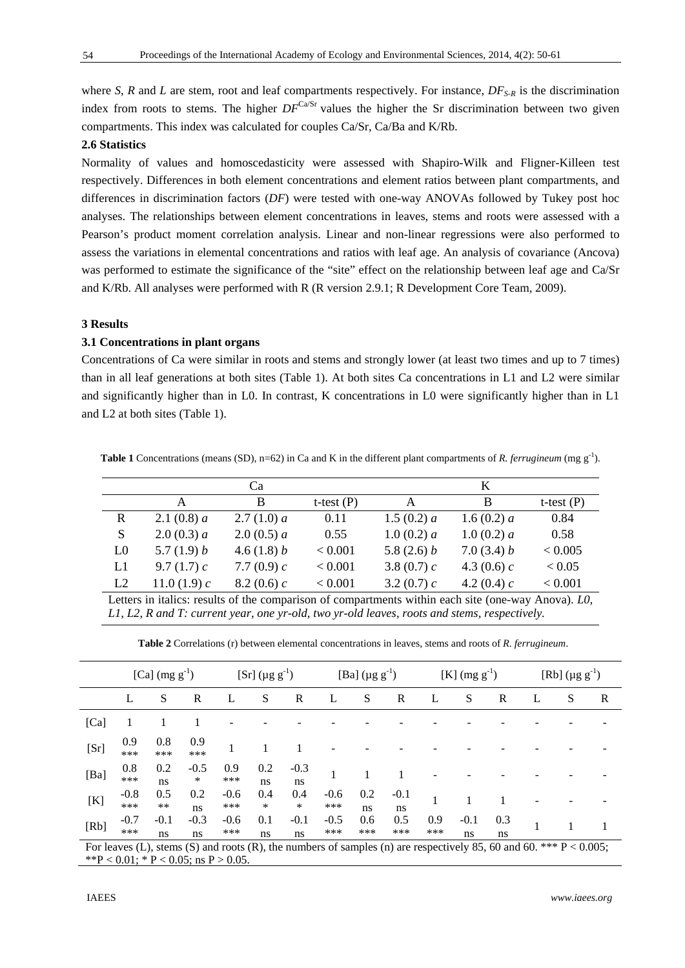where *S*, *R* and *L* are stem, root and leaf compartments respectively. For instance,  $DF_{S-R}$  is the discrimination index from roots to stems. The higher  $DF^{Ca/Sr}$  values the higher the Sr discrimination between two given compartments. This index was calculated for couples Ca/Sr, Ca/Ba and K/Rb.

## **2.6 Statistics**

Normality of values and homoscedasticity were assessed with Shapiro-Wilk and Fligner-Killeen test respectively. Differences in both element concentrations and element ratios between plant compartments, and differences in discrimination factors (*DF*) were tested with one-way ANOVAs followed by Tukey post hoc analyses. The relationships between element concentrations in leaves, stems and roots were assessed with a Pearson's product moment correlation analysis. Linear and non-linear regressions were also performed to assess the variations in elemental concentrations and ratios with leaf age. An analysis of covariance (Ancova) was performed to estimate the significance of the "site" effect on the relationship between leaf age and Ca/Sr and K/Rb. All analyses were performed with R (R version 2.9.1; R Development Core Team, 2009).

# **3 Results**

### **3.1 Concentrations in plant organs**

Concentrations of Ca were similar in roots and stems and strongly lower (at least two times and up to 7 times) than in all leaf generations at both sites (Table 1). At both sites Ca concentrations in L1 and L2 were similar and significantly higher than in L0. In contrast, K concentrations in L0 were significantly higher than in L1 and L2 at both sites (Table 1).

**Table 1** Concentrations (means (SD), n=62) in Ca and K in the different plant compartments of *R. ferrugineum* (mg g<sup>-1</sup>).

|                |                | Cа            |              |               | K             |              |
|----------------|----------------|---------------|--------------|---------------|---------------|--------------|
|                |                | B             | t-test $(P)$ | A             | B             | t-test $(P)$ |
| R              | 2.1 (0.8) $a$  | 2.7(1.0) a    | 0.11         | 1.5 $(0.2) a$ | 1.6 $(0.2) a$ | 0.84         |
| S              | 2.0(0.3) a     | 2.0(0.5) a    | 0.55         | 1.0(0.2) a    | 1.0(0.2) a    | 0.58         |
| L <sub>0</sub> | 5.7(1.9) b     | 4.6 $(1.8) b$ | < 0.001      | 5.8 $(2.6)$ b | 7.0 $(3.4) b$ | < 0.005      |
| L1             | 9.7 $(1.7)$ c  | 7.7 $(0.9) c$ | < 0.001      | 3.8 (0.7) $c$ | 4.3 (0.6) $c$ | < 0.05       |
| L2             | 11.0 $(1.9) c$ | 8.2 (0.6) $c$ | < 0.001      | 3.2 $(0.7)$ c | 4.2 (0.4) $c$ | < 0.001      |

Letters in italics: results of the comparison of compartments within each site (one-way Anova). *L0, L1, L2, R and T: current year, one yr-old, two yr-old leaves, roots and stems, respectively.* 

 **Table 2** Correlations (r) between elemental concentrations in leaves, stems and roots of *R. ferrugineum*.

|      | [Ca] $(mg g^{-1})$ |                   |                  | [Sr] ( $\mu$ g g <sup>-1</sup> ) |               | [Ba] $(\mu g g^{-1})$ |                 | [K] $(mg g^{-1})$ |              | [Rb] $(\mu g g^{-1})$ |              |             |   |   |   |
|------|--------------------|-------------------|------------------|----------------------------------|---------------|-----------------------|-----------------|-------------------|--------------|-----------------------|--------------|-------------|---|---|---|
|      | L                  | S                 | R                | L                                | S             | $\mathbb R$           | L               | S                 | $\mathbb R$  | L                     | S            | $\mathbb R$ | L | S | R |
| [Ca] | 1                  |                   |                  |                                  |               |                       |                 |                   |              |                       |              |             |   |   |   |
| [Sr] | 0.9<br>***         | 0.8<br>***        | 0.9<br>***       |                                  |               |                       |                 |                   |              |                       |              |             |   |   |   |
| [Ba] | 0.8<br>***         | 0.2<br>ns         | $-0.5$<br>$\ast$ | 0.9<br>***                       | 0.2<br>ns     | $-0.3$<br>ns          |                 |                   |              |                       |              |             |   |   |   |
| [K]  | $-0.8$<br>***      | 0.5<br>$\ast\ast$ | 0.2<br>ns        | $-0.6$<br>***                    | 0.4<br>$\ast$ | 0.4<br>$\ast$         | $-0.6$<br>$***$ | 0.2<br>ns         | $-0.1$<br>ns |                       |              |             |   |   |   |
| [Rb] | $-0.7$<br>***      | $-0.1$<br>ns      | $-0.3$<br>ns     | $-0.6$<br>$***$                  | 0.1<br>ns     | $-0.1$<br>ns          | $-0.5$<br>***   | 0.6<br>***        | 0.5<br>***   | 0.9<br>***            | $-0.1$<br>ns | 0.3<br>ns   |   |   |   |

For leaves (L), stems (S) and roots (R), the numbers of samples (n) are respectively 85, 60 and 60. \*\*\*  $P < 0.005$ ; \*\*P < 0.01; \* P < 0.05; ns P > 0.05.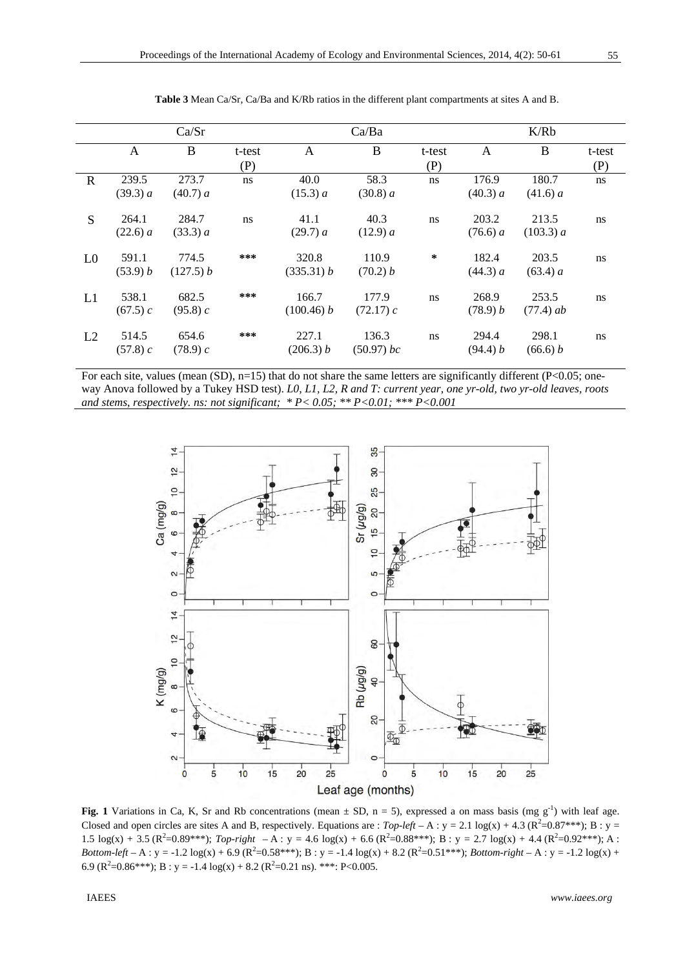|                |                   | Ca/Sr              |               |                     | Ca/Ba                 |               |                   | K/Rb                 |               |
|----------------|-------------------|--------------------|---------------|---------------------|-----------------------|---------------|-------------------|----------------------|---------------|
|                | A                 | B                  | t-test<br>(P) | $\mathsf{A}$        | B                     | t-test<br>(P) | A                 | B                    | t-test<br>(P) |
| $\mathbb{R}$   | 239.5<br>(39.3) a | 273.7<br>(40.7) a  | ns            | 40.0<br>(15.3) a    | 58.3<br>(30.8) a      | ns            | 176.9<br>(40.3) a | 180.7<br>(41.6) a    | ns            |
| S              | 264.1<br>(22.6) a | 284.7<br>(33.3) a  | ns            | 41.1<br>(29.7) a    | 40.3<br>(12.9) a      | ns            | 203.2<br>(76.6) a | 213.5<br>(103.3) a   | ns            |
| L <sub>0</sub> | 591.1<br>(53.9) b | 774.5<br>(127.5) b | ***           | 320.8<br>(335.31) b | 110.9<br>(70.2) b     | ∗             | 182.4<br>(44.3) a | 203.5<br>(63.4) a    | ns            |
| L1             | 538.1<br>(67.5) c | 682.5<br>(95.8) c  | ***           | 166.7<br>(100.46) b | 177.9<br>(72.17) c    | ns            | 268.9<br>(78.9) b | 253.5<br>$(77.4)$ ab | ns            |
| L2             | 514.5<br>(57.8) c | 654.6<br>(78.9) c  | ***           | 227.1<br>(206.3) b  | 136.3<br>$(50.97)$ bc | ns.           | 294.4<br>(94.4) b | 298.1<br>(66.6) b    | ns            |

 **Table 3** Mean Ca/Sr, Ca/Ba and K/Rb ratios in the different plant compartments at sites A and B.

For each site, values (mean (SD), n=15) that do not share the same letters are significantly different (P<0.05; oneway Anova followed by a Tukey HSD test). *L0, L1, L2, R and T: current year, one yr-old, two yr-old leaves, roots and stems, respectively. ns: not significant; \* P< 0.05; \*\* P<0.01; \*\*\* P<0.001*



**Fig. 1** Variations in Ca, K, Sr and Rb concentrations (mean  $\pm$  SD, n = 5), expressed a on mass basis (mg g<sup>-1</sup>) with leaf age. Closed and open circles are sites A and B, respectively. Equations are :  $Top-left - A : y = 2.1 log(x) + 4.3 (R<sup>2</sup>=0.87***); B : y =$ 1.5  $\log(x) + 3.5$  ( $\mathbb{R}^2 = 0.89^{***}$ ); *Top-right*  $-\mathbb{A}$ : y = 4.6  $\log(x) + 6.6$  ( $\mathbb{R}^2 = 0.88^{***}$ ); B: y = 2.7  $\log(x) + 4.4$  ( $\mathbb{R}^2 = 0.92^{***}$ ); A:  $Bottom-left - A: y = -1.2 log(x) + 6.9 (R<sup>2</sup>=0.58***); B: y = -1.4 log(x) + 8.2 (R<sup>2</sup>=0.51***); Bottom-right - A: y = -1.2 log(x) + 6.9 (R<sup>2</sup>=0.58***); B: y = -1.4 log(x) + 8.2 (R<sup>2</sup>=0.51***); Bottom-right - A: y = -1.2 log(x) + 8.2 (R<sup>2</sup>=0.51***);$ 6.9 ( $R^2$ =0.86\*\*\*); B : y = -1.4 log(x) + 8.2 ( $R^2$ =0.21 ns). \*\*\*: P<0.005.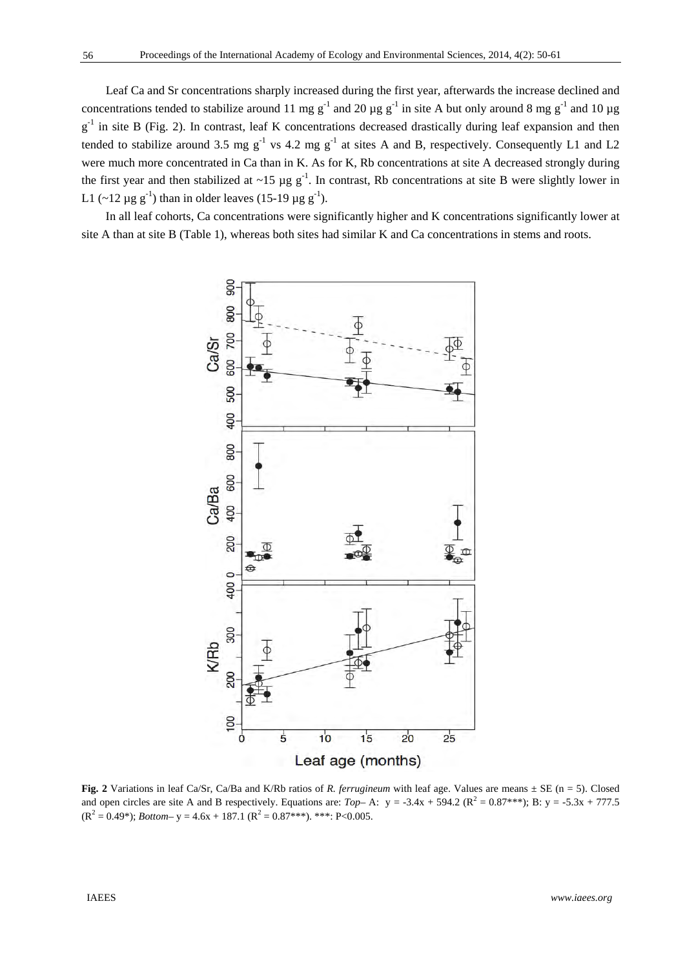Leaf Ca and Sr concentrations sharply increased during the first year, afterwards the increase declined and concentrations tended to stabilize around 11 mg g<sup>-1</sup> and 20  $\mu$ g g<sup>-1</sup> in site A but only around 8 mg g<sup>-1</sup> and 10  $\mu$ g  $g^{-1}$  in site B (Fig. 2). In contrast, leaf K concentrations decreased drastically during leaf expansion and then tended to stabilize around 3.5 mg  $g^{-1}$  vs 4.2 mg  $g^{-1}$  at sites A and B, respectively. Consequently L1 and L2 were much more concentrated in Ca than in K. As for K, Rb concentrations at site A decreased strongly during the first year and then stabilized at  $\sim$ 15 µg g<sup>-1</sup>. In contrast, Rb concentrations at site B were slightly lower in L1 (~12  $\mu$ g g<sup>-1</sup>) than in older leaves (15-19  $\mu$ g g<sup>-1</sup>).

In all leaf cohorts, Ca concentrations were significantly higher and K concentrations significantly lower at site A than at site B (Table 1), whereas both sites had similar K and Ca concentrations in stems and roots.



**Fig. 2** Variations in leaf Ca/Sr, Ca/Ba and K/Rb ratios of *R. ferrugineum* with leaf age. Values are means ± SE (n = 5). Closed and open circles are site A and B respectively. Equations are:  $Top-$  A:  $y = -3.4x + 594.2$  ( $R^2 = 0.87$ \*\*\*); B:  $y = -5.3x + 777.5$  $(R^2 = 0.49^*)$ ; *Bottom*- y = 4.6x + 187.1 ( $R^2 = 0.87^{***}$ ). \*\*\*: P<0.005.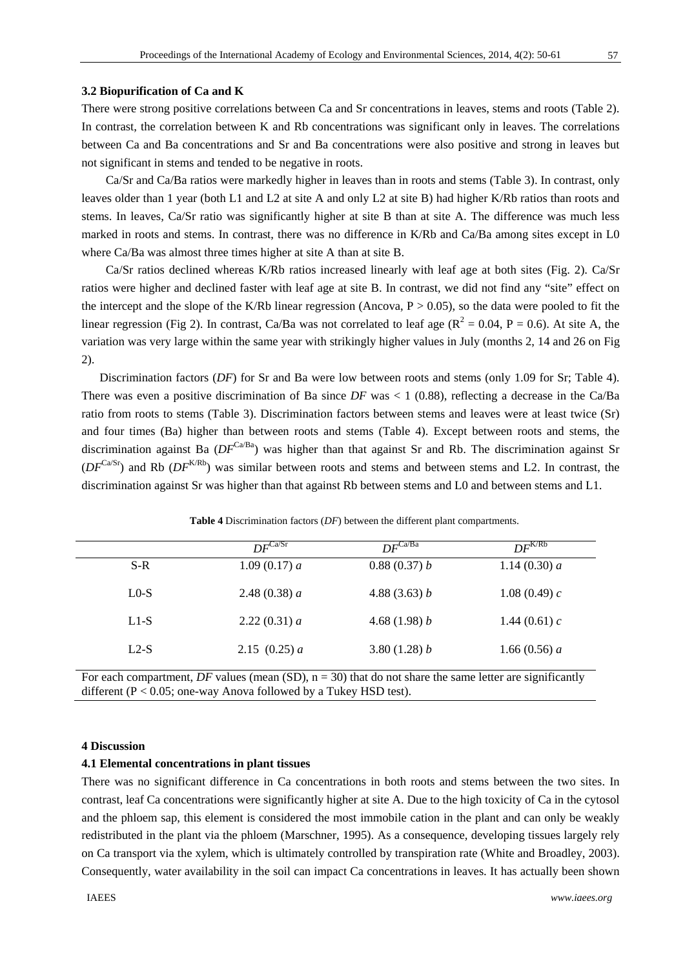#### **3.2 Biopurification of Ca and K**

There were strong positive correlations between Ca and Sr concentrations in leaves, stems and roots (Table 2). In contrast, the correlation between K and Rb concentrations was significant only in leaves. The correlations between Ca and Ba concentrations and Sr and Ba concentrations were also positive and strong in leaves but not significant in stems and tended to be negative in roots.

Ca/Sr and Ca/Ba ratios were markedly higher in leaves than in roots and stems (Table 3). In contrast, only leaves older than 1 year (both L1 and L2 at site A and only L2 at site B) had higher K/Rb ratios than roots and stems. In leaves, Ca/Sr ratio was significantly higher at site B than at site A. The difference was much less marked in roots and stems. In contrast, there was no difference in K/Rb and Ca/Ba among sites except in L0 where Ca/Ba was almost three times higher at site A than at site B.

Ca/Sr ratios declined whereas K/Rb ratios increased linearly with leaf age at both sites (Fig. 2). Ca/Sr ratios were higher and declined faster with leaf age at site B. In contrast, we did not find any "site" effect on the intercept and the slope of the K/Rb linear regression (Ancova,  $P > 0.05$ ), so the data were pooled to fit the linear regression (Fig 2). In contrast, Ca/Ba was not correlated to leaf age ( $R^2 = 0.04$ ,  $P = 0.6$ ). At site A, the variation was very large within the same year with strikingly higher values in July (months 2, 14 and 26 on Fig 2).

Discrimination factors (*DF*) for Sr and Ba were low between roots and stems (only 1.09 for Sr; Table 4). There was even a positive discrimination of Ba since *DF* was < 1 (0.88), reflecting a decrease in the Ca/Ba ratio from roots to stems (Table 3). Discrimination factors between stems and leaves were at least twice (Sr) and four times (Ba) higher than between roots and stems (Table 4). Except between roots and stems, the discrimination against Ba ( $DF^{Ca/Ba}$ ) was higher than that against Sr and Rb. The discrimination against Sr  $(DF^{Ca/Sr})$  and Rb  $(DF^{K/Rb})$  was similar between roots and stems and between stems and L2. In contrast, the discrimination against Sr was higher than that against Rb between stems and L0 and between stems and L1.

|        | $DF^{\overline{\text{Ca/Sr}}}$ | $DF^{\overline{Ca/Ba}}$ | $DF^{K/Rb}$     |
|--------|--------------------------------|-------------------------|-----------------|
| $S-R$  | 1.09(0.17) a                   | 0.88(0.37) b            | 1.14 $(0.30) a$ |
| $L0-S$ | 2.48 $(0.38) a$                | 4.88 $(3.63) b$         | 1.08 (0.49) $c$ |
| $L1-S$ | 2.22(0.31) a                   | 4.68 $(1.98) b$         | 1.44 $(0.61) c$ |
| $L2-S$ | 2.15 $(0.25) a$                | 3.80 $(1.28) b$         | 1.66 $(0.56) a$ |

 **Table 4** Discrimination factors (*DF*) between the different plant compartments.

For each compartment, *DF* values (mean (SD),  $n = 30$ ) that do not share the same letter are significantly different (P < 0.05; one-way Anova followed by a Tukey HSD test).

## **4 Discussion**

#### **4.1 Elemental concentrations in plant tissues**

There was no significant difference in Ca concentrations in both roots and stems between the two sites. In contrast, leaf Ca concentrations were significantly higher at site A. Due to the high toxicity of Ca in the cytosol and the phloem sap, this element is considered the most immobile cation in the plant and can only be weakly redistributed in the plant via the phloem (Marschner, 1995). As a consequence, developing tissues largely rely on Ca transport via the xylem, which is ultimately controlled by transpiration rate (White and Broadley, 2003). Consequently, water availability in the soil can impact Ca concentrations in leaves. It has actually been shown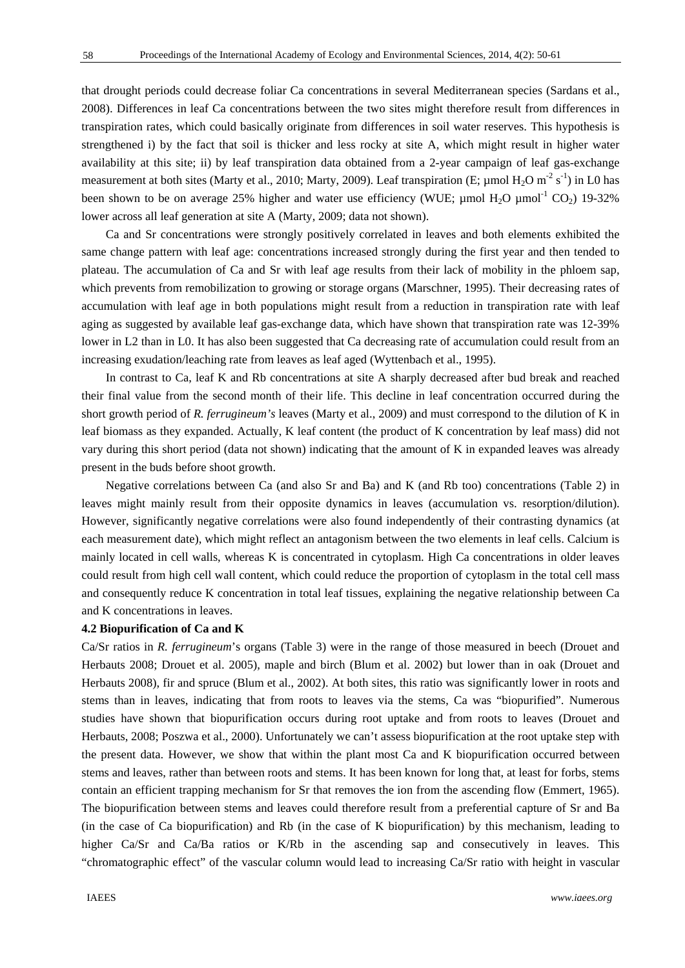58

that drought periods could decrease foliar Ca concentrations in several Mediterranean species (Sardans et al., 2008). Differences in leaf Ca concentrations between the two sites might therefore result from differences in transpiration rates, which could basically originate from differences in soil water reserves. This hypothesis is strengthened i) by the fact that soil is thicker and less rocky at site A, which might result in higher water availability at this site; ii) by leaf transpiration data obtained from a 2-year campaign of leaf gas-exchange measurement at both sites (Marty et al., 2010; Marty, 2009). Leaf transpiration (E;  $\mu$ mol H<sub>2</sub>O m<sup>-2</sup> s<sup>-1</sup>) in L0 has been shown to be on average 25% higher and water use efficiency (WUE;  $\mu$ mol H<sub>2</sub>O  $\mu$ mol<sup>-1</sup> CO<sub>2</sub>) 19-32% lower across all leaf generation at site A (Marty, 2009; data not shown).

Ca and Sr concentrations were strongly positively correlated in leaves and both elements exhibited the same change pattern with leaf age: concentrations increased strongly during the first year and then tended to plateau. The accumulation of Ca and Sr with leaf age results from their lack of mobility in the phloem sap, which prevents from remobilization to growing or storage organs (Marschner, 1995). Their decreasing rates of accumulation with leaf age in both populations might result from a reduction in transpiration rate with leaf aging as suggested by available leaf gas-exchange data, which have shown that transpiration rate was 12-39% lower in L2 than in L0. It has also been suggested that Ca decreasing rate of accumulation could result from an increasing exudation/leaching rate from leaves as leaf aged (Wyttenbach et al., 1995).

In contrast to Ca, leaf K and Rb concentrations at site A sharply decreased after bud break and reached their final value from the second month of their life. This decline in leaf concentration occurred during the short growth period of *R. ferrugineum's* leaves (Marty et al., 2009) and must correspond to the dilution of K in leaf biomass as they expanded. Actually, K leaf content (the product of K concentration by leaf mass) did not vary during this short period (data not shown) indicating that the amount of K in expanded leaves was already present in the buds before shoot growth.

Negative correlations between Ca (and also Sr and Ba) and K (and Rb too) concentrations (Table 2) in leaves might mainly result from their opposite dynamics in leaves (accumulation vs. resorption/dilution). However, significantly negative correlations were also found independently of their contrasting dynamics (at each measurement date), which might reflect an antagonism between the two elements in leaf cells. Calcium is mainly located in cell walls, whereas K is concentrated in cytoplasm. High Ca concentrations in older leaves could result from high cell wall content, which could reduce the proportion of cytoplasm in the total cell mass and consequently reduce K concentration in total leaf tissues, explaining the negative relationship between Ca and K concentrations in leaves.

#### **4.2 Biopurification of Ca and K**

Ca/Sr ratios in *R. ferrugineum*'s organs (Table 3) were in the range of those measured in beech (Drouet and Herbauts 2008; Drouet et al. 2005), maple and birch (Blum et al. 2002) but lower than in oak (Drouet and Herbauts 2008), fir and spruce (Blum et al., 2002). At both sites, this ratio was significantly lower in roots and stems than in leaves, indicating that from roots to leaves via the stems, Ca was "biopurified". Numerous studies have shown that biopurification occurs during root uptake and from roots to leaves (Drouet and Herbauts, 2008; Poszwa et al., 2000). Unfortunately we can't assess biopurification at the root uptake step with the present data. However, we show that within the plant most Ca and K biopurification occurred between stems and leaves, rather than between roots and stems. It has been known for long that, at least for forbs, stems contain an efficient trapping mechanism for Sr that removes the ion from the ascending flow (Emmert, 1965). The biopurification between stems and leaves could therefore result from a preferential capture of Sr and Ba (in the case of Ca biopurification) and Rb (in the case of K biopurification) by this mechanism, leading to higher Ca/Sr and Ca/Ba ratios or K/Rb in the ascending sap and consecutively in leaves. This "chromatographic effect" of the vascular column would lead to increasing Ca/Sr ratio with height in vascular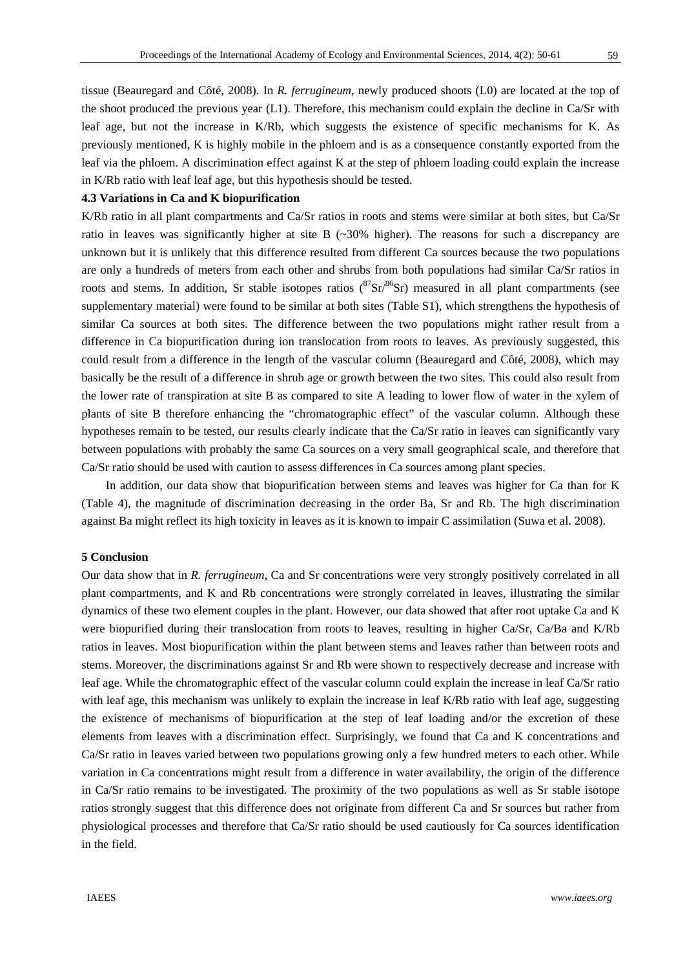tissue (Beauregard and Côté, 2008). In *R. ferrugineum*, newly produced shoots (L0) are located at the top of the shoot produced the previous year (L1). Therefore, this mechanism could explain the decline in Ca/Sr with leaf age, but not the increase in K/Rb, which suggests the existence of specific mechanisms for K. As previously mentioned, K is highly mobile in the phloem and is as a consequence constantly exported from the leaf via the phloem. A discrimination effect against K at the step of phloem loading could explain the increase in K/Rb ratio with leaf leaf age, but this hypothesis should be tested.

## **4.3 Variations in Ca and K biopurification**

K/Rb ratio in all plant compartments and Ca/Sr ratios in roots and stems were similar at both sites, but Ca/Sr ratio in leaves was significantly higher at site B (~30% higher). The reasons for such a discrepancy are unknown but it is unlikely that this difference resulted from different Ca sources because the two populations are only a hundreds of meters from each other and shrubs from both populations had similar Ca/Sr ratios in roots and stems. In addition, Sr stable isotopes ratios  $({}^{87}Sr)^{86}Sr$ ) measured in all plant compartments (see supplementary material) were found to be similar at both sites (Table S1), which strengthens the hypothesis of similar Ca sources at both sites. The difference between the two populations might rather result from a difference in Ca biopurification during ion translocation from roots to leaves. As previously suggested, this could result from a difference in the length of the vascular column (Beauregard and Côté, 2008), which may basically be the result of a difference in shrub age or growth between the two sites. This could also result from the lower rate of transpiration at site B as compared to site A leading to lower flow of water in the xylem of plants of site B therefore enhancing the "chromatographic effect" of the vascular column. Although these hypotheses remain to be tested, our results clearly indicate that the Ca/Sr ratio in leaves can significantly vary between populations with probably the same Ca sources on a very small geographical scale, and therefore that Ca/Sr ratio should be used with caution to assess differences in Ca sources among plant species.

In addition, our data show that biopurification between stems and leaves was higher for Ca than for K (Table 4), the magnitude of discrimination decreasing in the order Ba, Sr and Rb. The high discrimination against Ba might reflect its high toxicity in leaves as it is known to impair C assimilation (Suwa et al. 2008).

#### **5 Conclusion**

Our data show that in *R. ferrugineum,* Ca and Sr concentrations were very strongly positively correlated in all plant compartments, and K and Rb concentrations were strongly correlated in leaves, illustrating the similar dynamics of these two element couples in the plant. However, our data showed that after root uptake Ca and K were biopurified during their translocation from roots to leaves, resulting in higher Ca/Sr, Ca/Ba and K/Rb ratios in leaves. Most biopurification within the plant between stems and leaves rather than between roots and stems. Moreover, the discriminations against Sr and Rb were shown to respectively decrease and increase with leaf age. While the chromatographic effect of the vascular column could explain the increase in leaf Ca/Sr ratio with leaf age, this mechanism was unlikely to explain the increase in leaf K/Rb ratio with leaf age, suggesting the existence of mechanisms of biopurification at the step of leaf loading and/or the excretion of these elements from leaves with a discrimination effect. Surprisingly, we found that Ca and K concentrations and Ca/Sr ratio in leaves varied between two populations growing only a few hundred meters to each other. While variation in Ca concentrations might result from a difference in water availability, the origin of the difference in Ca/Sr ratio remains to be investigated. The proximity of the two populations as well as Sr stable isotope ratios strongly suggest that this difference does not originate from different Ca and Sr sources but rather from physiological processes and therefore that Ca/Sr ratio should be used cautiously for Ca sources identification in the field.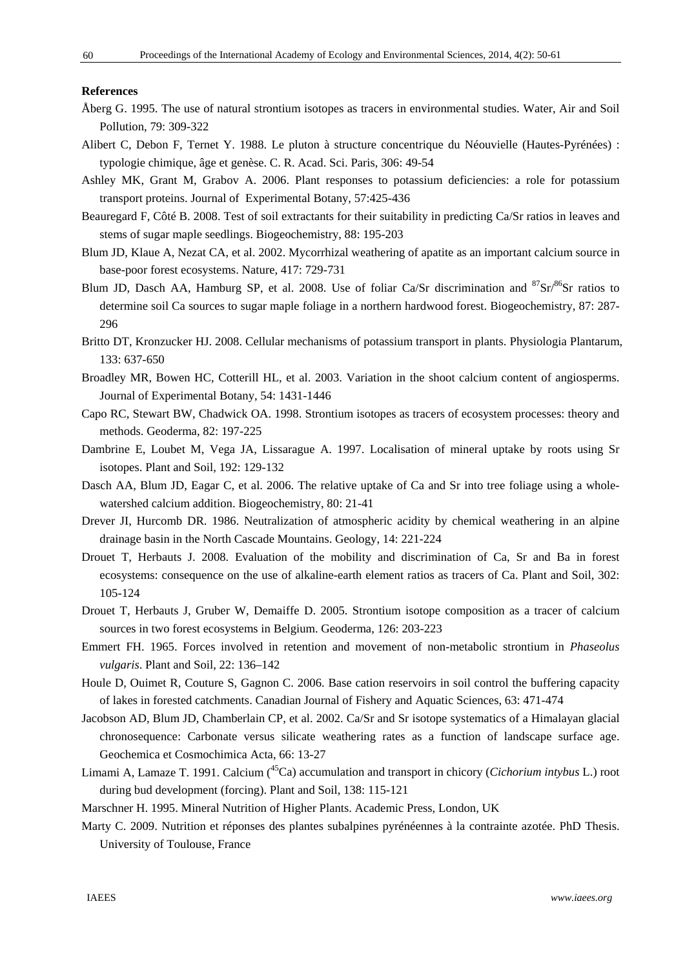#### **References**

- Åberg G. 1995. The use of natural strontium isotopes as tracers in environmental studies. Water, Air and Soil Pollution, 79: 309-322
- Alibert C, Debon F, Ternet Y. 1988. Le pluton à structure concentrique du Néouvielle (Hautes-Pyrénées) : typologie chimique, âge et genèse. C. R. Acad. Sci. Paris, 306: 49-54
- Ashley MK, Grant M, Grabov A. 2006. Plant responses to potassium deficiencies: a role for potassium transport proteins. Journal of Experimental Botany, 57:425-436
- Beauregard F, Côté B. 2008. Test of soil extractants for their suitability in predicting Ca/Sr ratios in leaves and stems of sugar maple seedlings. Biogeochemistry, 88: 195-203
- Blum JD, Klaue A, Nezat CA, et al. 2002. Mycorrhizal weathering of apatite as an important calcium source in base-poor forest ecosystems. Nature, 417: 729-731
- Blum JD, Dasch AA, Hamburg SP, et al. 2008. Use of foliar Ca/Sr discrimination and  ${}^{87}Sr/{}^{86}Sr$  ratios to determine soil Ca sources to sugar maple foliage in a northern hardwood forest. Biogeochemistry, 87: 287- 296
- Britto DT, Kronzucker HJ. 2008. Cellular mechanisms of potassium transport in plants. Physiologia Plantarum, 133: 637-650
- Broadley MR, Bowen HC, Cotterill HL, et al. 2003. Variation in the shoot calcium content of angiosperms. Journal of Experimental Botany, 54: 1431-1446
- Capo RC, Stewart BW, Chadwick OA. 1998. Strontium isotopes as tracers of ecosystem processes: theory and methods. Geoderma, 82: 197-225
- Dambrine E, Loubet M, Vega JA, Lissarague A. 1997. Localisation of mineral uptake by roots using Sr isotopes. Plant and Soil, 192: 129-132
- Dasch AA, Blum JD, Eagar C, et al. 2006. The relative uptake of Ca and Sr into tree foliage using a wholewatershed calcium addition. Biogeochemistry, 80: 21-41
- Drever JI, Hurcomb DR. 1986. Neutralization of atmospheric acidity by chemical weathering in an alpine drainage basin in the North Cascade Mountains. Geology, 14: 221-224
- Drouet T, Herbauts J. 2008. Evaluation of the mobility and discrimination of Ca, Sr and Ba in forest ecosystems: consequence on the use of alkaline-earth element ratios as tracers of Ca. Plant and Soil, 302: 105-124
- Drouet T, Herbauts J, Gruber W, Demaiffe D. 2005. Strontium isotope composition as a tracer of calcium sources in two forest ecosystems in Belgium. Geoderma, 126: 203-223
- Emmert FH. 1965. Forces involved in retention and movement of non-metabolic strontium in *Phaseolus vulgaris*. Plant and Soil, 22: 136–142
- Houle D, Ouimet R, Couture S, Gagnon C. 2006. Base cation reservoirs in soil control the buffering capacity of lakes in forested catchments. Canadian Journal of Fishery and Aquatic Sciences, 63: 471-474
- Jacobson AD, Blum JD, Chamberlain CP, et al. 2002. Ca/Sr and Sr isotope systematics of a Himalayan glacial chronosequence: Carbonate versus silicate weathering rates as a function of landscape surface age. Geochemica et Cosmochimica Acta, 66: 13-27
- Limami A, Lamaze T. 1991. Calcium (45Ca) accumulation and transport in chicory (*Cichorium intybus* L.) root during bud development (forcing). Plant and Soil, 138: 115-121
- Marschner H. 1995. Mineral Nutrition of Higher Plants. Academic Press, London, UK
- Marty C. 2009. Nutrition et réponses des plantes subalpines pyrénéennes à la contrainte azotée. PhD Thesis. University of Toulouse, France